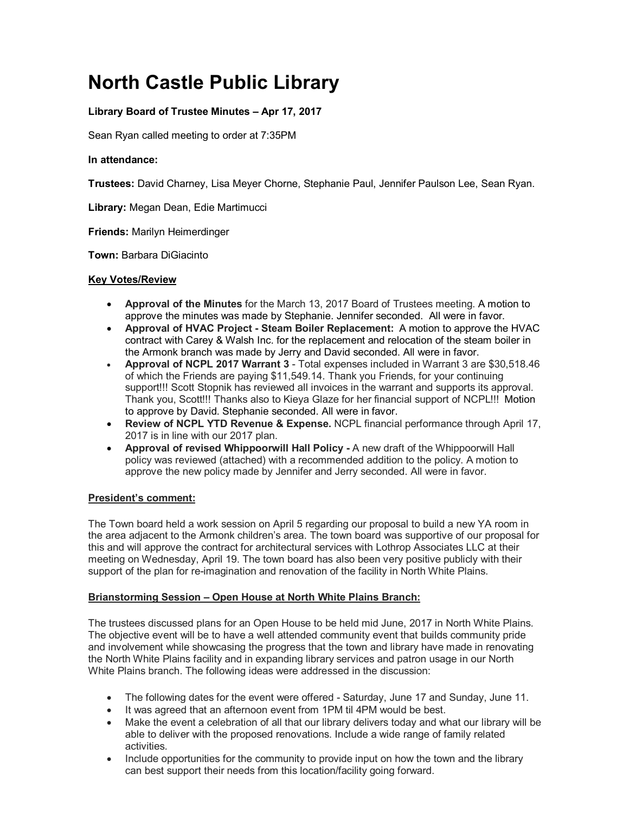# **North Castle Public Library**

# **Library Board of Trustee Minutes – Apr 17, 2017**

Sean Ryan called meeting to order at 7:35PM

#### **In attendance:**

**Trustees:** David Charney, Lisa Meyer Chorne, Stephanie Paul, Jennifer Paulson Lee, Sean Ryan.

**Library:** Megan Dean, Edie Martimucci

**Friends:** Marilyn Heimerdinger

**Town:** Barbara DiGiacinto

#### **Key Votes/Review**

- **Approval of the Minutes** for the March 13, 2017 Board of Trustees meeting. A motion to approve the minutes was made by Stephanie. Jennifer seconded.All were in favor.
- **Approval of HVAC Project - Steam Boiler Replacement:** A motion to approve the HVAC contract with Carey & Walsh Inc. for the replacement and relocation of the steam boiler in the Armonk branch was made by Jerry and David seconded. All were in favor.
- **Approval of NCPL 2017 Warrant 3** Total expenses included in Warrant 3 are \$30,518.46 of which the Friends are paying \$11,549.14. Thank you Friends, for your continuing support!!! Scott Stopnik has reviewed all invoices in the warrant and supports its approval. Thank you, Scott!!! Thanks also to Kieya Glaze for her financial support of NCPL!!! Motion to approve by David. Stephanie seconded. All were in favor.
- **Review of NCPL YTD Revenue & Expense.** NCPL financial performance through April 17, 2017 is in line with our 2017 plan.
- **Approval of revised Whippoorwill Hall Policy -** A new draft of the Whippoorwill Hall policy was reviewed (attached) with a recommended addition to the policy. A motion to approve the new policy made by Jennifer and Jerry seconded. All were in favor.

#### **President's comment:**

The Town board held a work session on April 5 regarding our proposal to build a new YA room in the area adjacent to the Armonk children's area. The town board was supportive of our proposal for this and will approve the contract for architectural services with Lothrop Associates LLC at their meeting on Wednesday, April 19. The town board has also been very positive publicly with their support of the plan for re-imagination and renovation of the facility in North White Plains.

#### **Brianstorming Session – Open House at North White Plains Branch:**

The trustees discussed plans for an Open House to be held mid June, 2017 in North White Plains. The objective event will be to have a well attended community event that builds community pride and involvement while showcasing the progress that the town and library have made in renovating the North White Plains facility and in expanding library services and patron usage in our North White Plains branch. The following ideas were addressed in the discussion:

- The following dates for the event were offered Saturday, June 17 and Sunday, June 11.
- It was agreed that an afternoon event from 1PM til 4PM would be best.
- Make the event a celebration of all that our library delivers today and what our library will be able to deliver with the proposed renovations. Include a wide range of family related activities.
- Include opportunities for the community to provide input on how the town and the library can best support their needs from this location/facility going forward.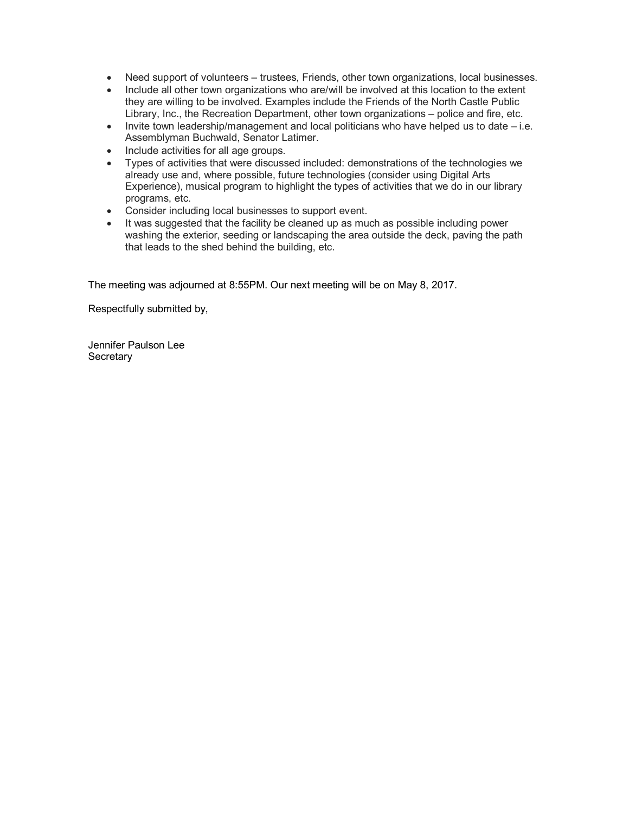- Need support of volunteers trustees, Friends, other town organizations, local businesses.
- Include all other town organizations who are/will be involved at this location to the extent they are willing to be involved. Examples include the Friends of the North Castle Public Library, Inc., the Recreation Department, other town organizations – police and fire, etc.
- $\bullet$  Invite town leadership/management and local politicians who have helped us to date  $-i.e.$ Assemblyman Buchwald, Senator Latimer.
- Include activities for all age groups.
- Types of activities that were discussed included: demonstrations of the technologies we already use and, where possible, future technologies (consider using Digital Arts Experience), musical program to highlight the types of activities that we do in our library programs, etc.
- Consider including local businesses to support event.
- It was suggested that the facility be cleaned up as much as possible including power washing the exterior, seeding or landscaping the area outside the deck, paving the path that leads to the shed behind the building, etc.

The meeting was adjourned at 8:55PM. Our next meeting will be on May 8, 2017.

Respectfully submitted by,

Jennifer Paulson Lee **Secretary**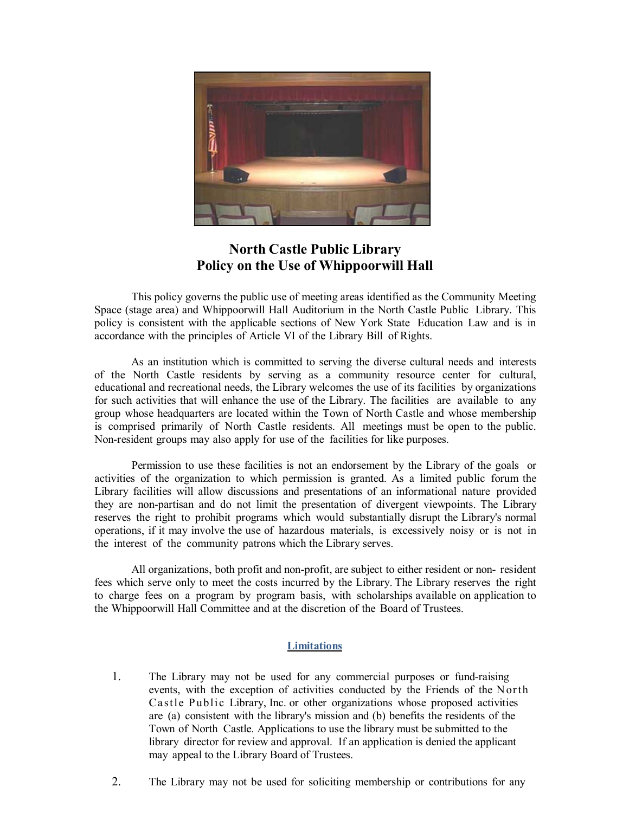

# **North Castle Public Library Policy on the Use of Whippoorwill Hall**

This policy governs the public use of meeting areas identified as the Community Meeting Space (stage area) and Whippoorwill Hall Auditorium in the North Castle Public Library. This policy is consistent with the applicable sections of New York State Education Law and is in accordance with the principles of Article VI of the Library Bill of Rights.

As an institution which is committed to serving the diverse cultural needs and interests of the North Castle residents by serving as a community resource center for cultural, educational and recreational needs, the Library welcomes the use of its facilities by organizations for such activities that will enhance the use of the Library. The facilities are available to any group whose headquarters are located within the Town of North Castle and whose membership is comprised primarily of North Castle residents. All meetings must be open to the public. Non-resident groups may also apply for use of the facilities for like purposes.

Permission to use these facilities is not an endorsement by the Library of the goals or activities of the organization to which permission is granted. As a limited public forum the Library facilities will allow discussions and presentations of an informational nature provided they are non-partisan and do not limit the presentation of divergent viewpoints. The Library reserves the right to prohibit programs which would substantially disrupt the Library's normal operations, if it may involve the use of hazardous materials, is excessively noisy or is not in the interest of the community patrons which the Library serves.

All organizations, both profit and non-profit, are subject to either resident or non- resident fees which serve only to meet the costs incurred by the Library. The Library reserves the right to charge fees on a program by program basis, with scholarships available on application to the Whippoorwill Hall Committee and at the discretion of the Board of Trustees.

#### **Limitations**

- 1. The Library may not be used for any commercial purposes or fund-raising events, with the exception of activities conducted by the Friends of the North Castle Public Library, Inc. or other organizations whose proposed activities are (a) consistent with the library's mission and (b) benefits the residents of the Town of North Castle. Applications to use the library must be submitted to the library director for review and approval. If an application is denied the applicant may appeal to the Library Board of Trustees.
- 2. The Library may not be used for soliciting membership or contributions for any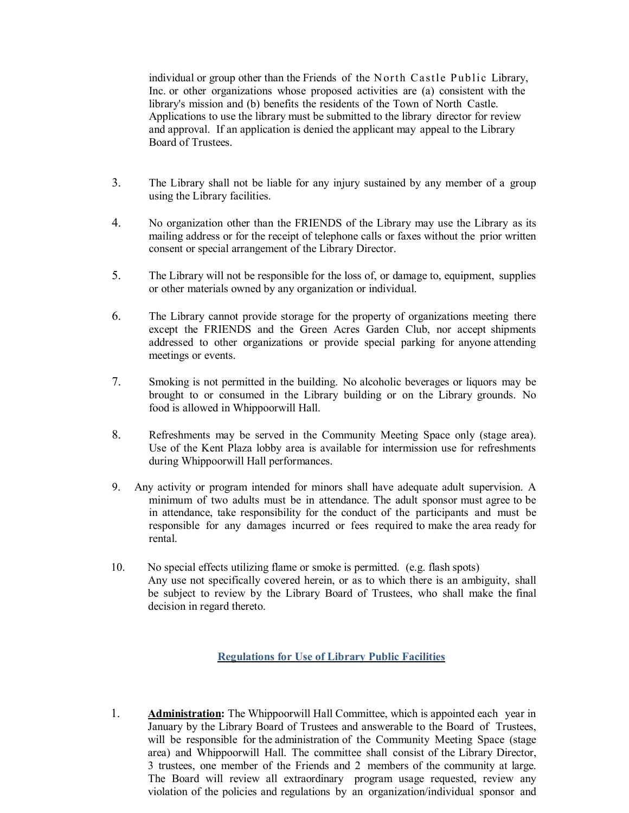individual or group other than the Friends of the North Castle Public Library, Inc. or other organizations whose proposed activities are (a) consistent with the library's mission and (b) benefits the residents of the Town of North Castle. Applications to use the library must be submitted to the library director for review and approval. If an application is denied the applicant may appeal to the Library Board of Trustees.

- 3. The Library shall not be liable for any injury sustained by any member of a group using the Library facilities.
- 4. No organization other than the FRIENDS of the Library may use the Library as its mailing address or for the receipt of telephone calls or faxes without the prior written consent or special arrangement of the Library Director.
- 5. The Library will not be responsible for the loss of, or damage to, equipment, supplies or other materials owned by any organization or individual.
- 6. The Library cannot provide storage for the property of organizations meeting there except the FRIENDS and the Green Acres Garden Club, nor accept shipments addressed to other organizations or provide special parking for anyone attending meetings or events.
- 7. Smoking is not permitted in the building. No alcoholic beverages or liquors may be brought to or consumed in the Library building or on the Library grounds. No food is allowed in Whippoorwill Hall.
- 8. Refreshments may be served in the Community Meeting Space only (stage area). Use of the Kent Plaza lobby area is available for intermission use for refreshments during Whippoorwill Hall performances.
- 9. Any activity or program intended for minors shall have adequate adult supervision. A minimum of two adults must be in attendance. The adult sponsor must agree to be in attendance, take responsibility for the conduct of the participants and must be responsible for any damages incurred or fees required to make the area ready for rental.
- 10. No special effects utilizing flame or smoke is permitted. (e.g. flash spots) Any use not specifically covered herein, or as to which there is an ambiguity, shall be subject to review by the Library Board of Trustees, who shall make the final decision in regard thereto.

### **Regulations for Use of Library Public Facilities**

1. **Administration:** The Whippoorwill Hall Committee, which is appointed each year in January by the Library Board of Trustees and answerable to the Board of Trustees, will be responsible for the administration of the Community Meeting Space (stage area) and Whippoorwill Hall. The committee shall consist of the Library Director, 3 trustees, one member of the Friends and 2 members of the community at large. The Board will review all extraordinary program usage requested, review any violation of the policies and regulations by an organization/individual sponsor and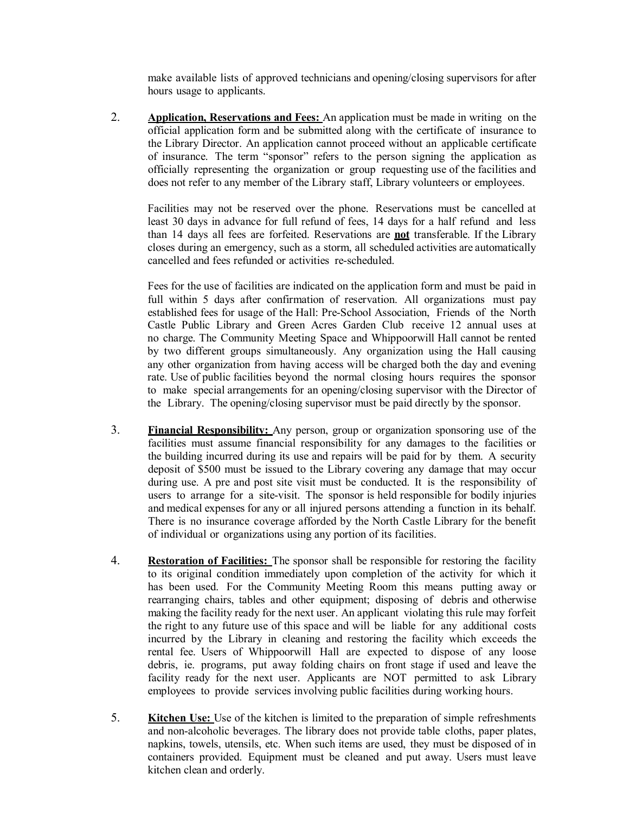make available lists of approved technicians and opening/closing supervisors for after hours usage to applicants.

2. **Application, Reservations and Fees:** An application must be made in writing on the official application form and be submitted along with the certificate of insurance to the Library Director. An application cannot proceed without an applicable certificate of insurance. The term "sponsor" refers to the person signing the application as officially representing the organization or group requesting use of the facilities and does not refer to any member of the Library staff, Library volunteers or employees.

Facilities may not be reserved over the phone. Reservations must be cancelled at least 30 days in advance for full refund of fees, 14 days for a half refund and less than 14 days all fees are forfeited. Reservations are **not** transferable. If the Library closes during an emergency, such as a storm, all scheduled activities are automatically cancelled and fees refunded or activities re-scheduled.

Fees for the use of facilities are indicated on the application form and must be paid in full within 5 days after confirmation of reservation. All organizations must pay established fees for usage of the Hall: Pre-School Association, Friends of the North Castle Public Library and Green Acres Garden Club receive 12 annual uses at no charge. The Community Meeting Space and Whippoorwill Hall cannot be rented by two different groups simultaneously. Any organization using the Hall causing any other organization from having access will be charged both the day and evening rate. Use of public facilities beyond the normal closing hours requires the sponsor to make special arrangements for an opening/closing supervisor with the Director of the Library. The opening/closing supervisor must be paid directly by the sponsor.

- 3. **Financial Responsibility:** Any person, group or organization sponsoring use of the facilities must assume financial responsibility for any damages to the facilities or the building incurred during its use and repairs will be paid for by them. A security deposit of \$500 must be issued to the Library covering any damage that may occur during use. A pre and post site visit must be conducted. It is the responsibility of users to arrange for a site-visit. The sponsor is held responsible for bodily injuries and medical expenses for any or all injured persons attending a function in its behalf. There is no insurance coverage afforded by the North Castle Library for the benefit of individual or organizations using any portion of its facilities.
- 4. **Restoration of Facilities:** The sponsor shall be responsible for restoring the facility to its original condition immediately upon completion of the activity for which it has been used. For the Community Meeting Room this means putting away or rearranging chairs, tables and other equipment; disposing of debris and otherwise making the facility ready for the next user. An applicant violating this rule may forfeit the right to any future use of this space and will be liable for any additional costs incurred by the Library in cleaning and restoring the facility which exceeds the rental fee. Users of Whippoorwill Hall are expected to dispose of any loose debris, ie. programs, put away folding chairs on front stage if used and leave the facility ready for the next user. Applicants are NOT permitted to ask Library employees to provide services involving public facilities during working hours.
- 5. **Kitchen Use:** Use of the kitchen is limited to the preparation of simple refreshments and non-alcoholic beverages. The library does not provide table cloths, paper plates, napkins, towels, utensils, etc. When such items are used, they must be disposed of in containers provided. Equipment must be cleaned and put away. Users must leave kitchen clean and orderly.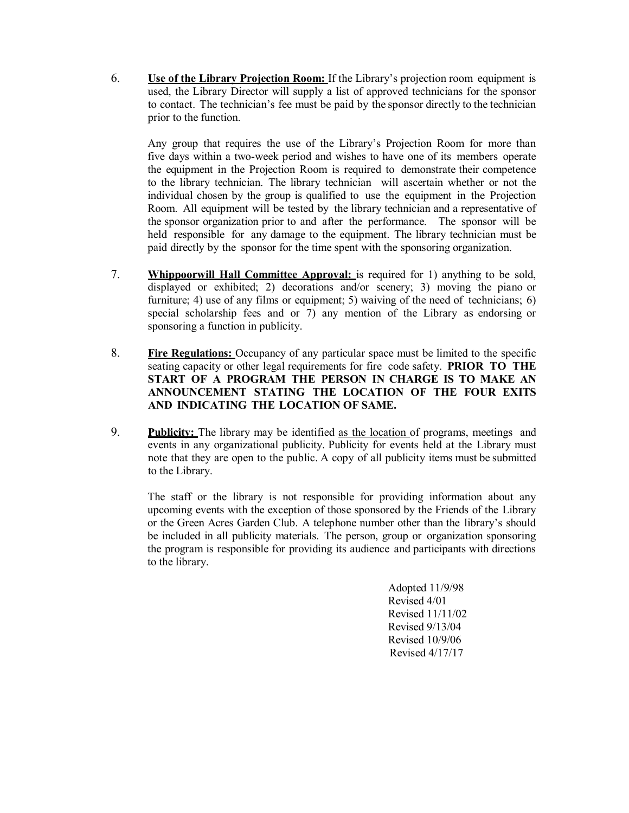6. **Use of the Library Projection Room:** If the Library's projection room equipment is used, the Library Director will supply a list of approved technicians for the sponsor to contact. The technician's fee must be paid by the sponsor directly to the technician prior to the function.

Any group that requires the use of the Library's Projection Room for more than five days within a two-week period and wishes to have one of its members operate the equipment in the Projection Room is required to demonstrate their competence to the library technician. The library technician will ascertain whether or not the individual chosen by the group is qualified to use the equipment in the Projection Room. All equipment will be tested by the library technician and a representative of the sponsor organization prior to and after the performance. The sponsor will be held responsible for any damage to the equipment. The library technician must be paid directly by the sponsor for the time spent with the sponsoring organization.

- 7. **Whippoorwill Hall Committee Approval:** is required for 1) anything to be sold, displayed or exhibited; 2) decorations and/or scenery; 3) moving the piano or furniture; 4) use of any films or equipment; 5) waiving of the need of technicians; 6) special scholarship fees and or 7) any mention of the Library as endorsing or sponsoring a function in publicity.
- 8. **Fire Regulations:** Occupancy of any particular space must be limited to the specific seating capacity or other legal requirements for fire code safety. **PRIOR TO THE START OF A PROGRAM THE PERSON IN CHARGE IS TO MAKE AN ANNOUNCEMENT STATING THE LOCATION OF THE FOUR EXITS AND INDICATING THE LOCATION OF SAME.**
- 9. **Publicity:** The library may be identified as the location of programs, meetings and events in any organizational publicity. Publicity for events held at the Library must note that they are open to the public. A copy of all publicity items must be submitted to the Library.

The staff or the library is not responsible for providing information about any upcoming events with the exception of those sponsored by the Friends of the Library or the Green Acres Garden Club. A telephone number other than the library's should be included in all publicity materials. The person, group or organization sponsoring the program is responsible for providing its audience and participants with directions to the library.

> Adopted 11/9/98 Revised 4/01 Revised 11/11/02 Revised 9/13/04 Revised 10/9/06 Revised 4/17/17